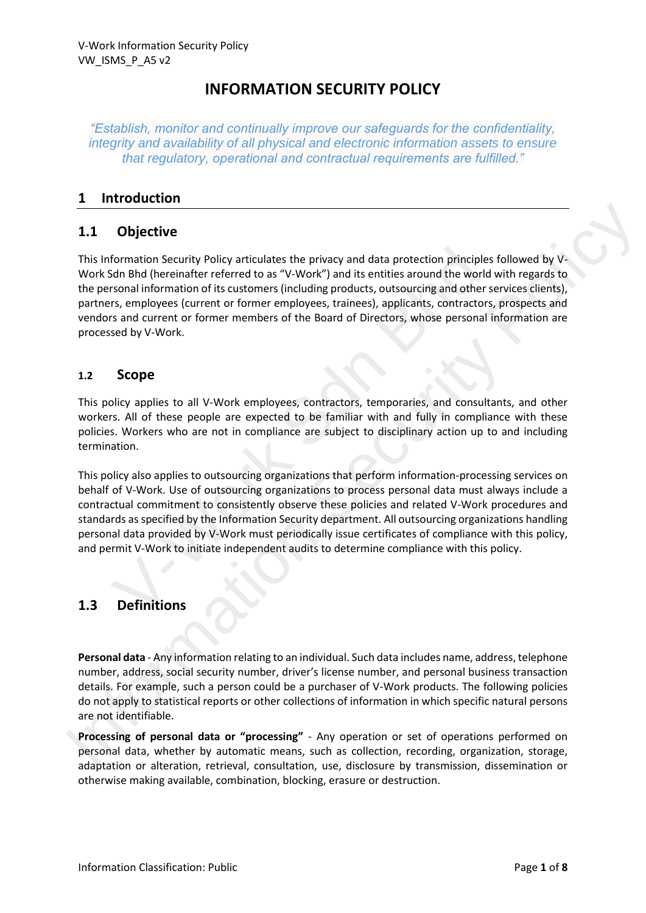# **INFORMATION SECURITY POLICY**

*"Establish, monitor and continually improve our safeguards for the confidentiality, integrity and availability of all physical and electronic information assets to ensure that regulatory, operational and contractual requirements are fulfilled."*

### **1 Introduction**

# **1.1 Objective**

This Information Security Policy articulates the privacy and data protection principles followed by V-Work Sdn Bhd (hereinafter referred to as "V-Work") and its entities around the world with regards to the personal information of its customers (including products, outsourcing and other services clients), partners, employees (current or former employees, trainees), applicants, contractors, prospects and vendors and current or former members of the Board of Directors, whose personal information are processed by V-Work. formation Security Policy articulates the privacy and data protection principly<br>and Bhd (hereinafter referred to as "V-Work") and its entities around the wors<br>onal information of its customers (including products, outsourc 1.1 **Objective**<br>
This information Security Policy articulates the privacy and data protection principles followed by V-<br>
Work Sch Bhd (hereinsher referred to as "V-Vork") and its entities around the world with regards to<br>

#### **1.2 Scope**

This policy applies to all V-Work employees, contractors, temporaries, and consultants, and other workers. All of these people are expected to be familiar with and fully in compliance with these policies. Workers who are not in compliance are subject to disciplinary action up to and including termination.

This policy also applies to outsourcing organizations that perform information-processing services on behalf of V-Work. Use of outsourcing organizations to process personal data must always include a contractual commitment to consistently observe these policies and related V-Work procedures and standards as specified by the Information Security department. All outsourcing organizations handling personal data provided by V-Work must periodically issue certificates of compliance with this policy, and permit V-Work to initiate independent audits to determine compliance with this policy.

# **1.3 Definitions**

**Personal data** - Any information relating to an individual. Such data includes name, address, telephone number, address, social security number, driver's license number, and personal business transaction details. For example, such a person could be a purchaser of V-Work products. The following policies do not apply to statistical reports or other collections of information in which specific natural persons are not identifiable.

**Processing of personal data or "processing"** - Any operation or set of operations performed on personal data, whether by automatic means, such as collection, recording, organization, storage, adaptation or alteration, retrieval, consultation, use, disclosure by transmission, dissemination or otherwise making available, combination, blocking, erasure or destruction.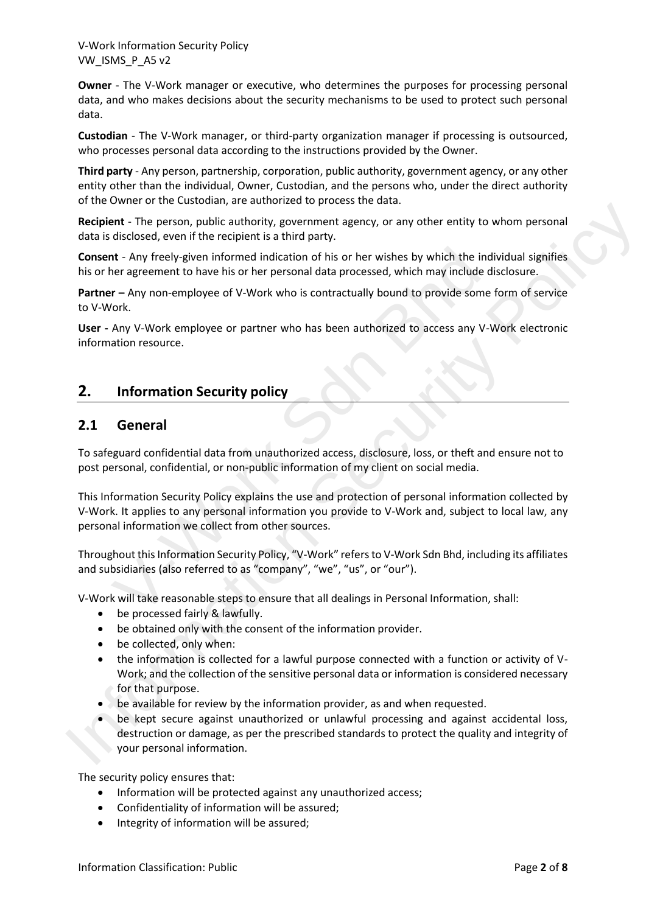**Owner** - The V-Work manager or executive, who determines the purposes for processing personal data, and who makes decisions about the security mechanisms to be used to protect such personal data.

**Custodian** - The V-Work manager, or third-party organization manager if processing is outsourced, who processes personal data according to the instructions provided by the Owner.

**Third party** - Any person, partnership, corporation, public authority, government agency, or any other entity other than the individual, Owner, Custodian, and the persons who, under the direct authority of the Owner or the Custodian, are authorized to process the data.

**Recipient** - The person, public authority, government agency, or any other entity to whom personal data is disclosed, even if the recipient is a third party.

**Consent** - Any freely-given informed indication of his or her wishes by which the individual signifies his or her agreement to have his or her personal data processed, which may include disclosure.

**Partner –** Any non-employee of V-Work who is contractually bound to provide some form of service to V-Work.

**User -** Any V-Work employee or partner who has been authorized to access any V-Work electronic information resource.

# **2. Information Security policy**

#### **2.1 General**

To safeguard confidential data from unauthorized access, disclosure, loss, or theft and ensure not to post personal, confidential, or non-public information of my client on social media.

This Information Security Policy explains the use and protection of personal information collected by V-Work. It applies to any personal information you provide to V-Work and, subject to local law, any personal information we collect from other sources. **nt** - Any freely-given informed indication of his or her wishes by which the i<br>era agreement to have his or her personal data processed, which may include<br>or - Any non-employee of V-Work who is contractually bound to prov **Internal contents are also assumption** the internal party, or any other entity to whom personal<br> **Consent** - Any freely-given information diractor of his or her wishes by which the individual signifies<br>
his or her accepte

Throughout this Information Security Policy, "V-Work" refers to V-Work Sdn Bhd, including its affiliates and subsidiaries (also referred to as "company", "we", "us", or "our").

V-Work will take reasonable steps to ensure that all dealings in Personal Information, shall:

- be processed fairly & lawfully.
- be obtained only with the consent of the information provider.
- be collected, only when:
- the information is collected for a lawful purpose connected with a function or activity of V-Work; and the collection of the sensitive personal data or information is considered necessary for that purpose.
- be available for review by the information provider, as and when requested.
- be kept secure against unauthorized or unlawful processing and against accidental loss, destruction or damage, as per the prescribed standards to protect the quality and integrity of your personal information.

The security policy ensures that:

- Information will be protected against any unauthorized access;
- Confidentiality of information will be assured;
- Integrity of information will be assured;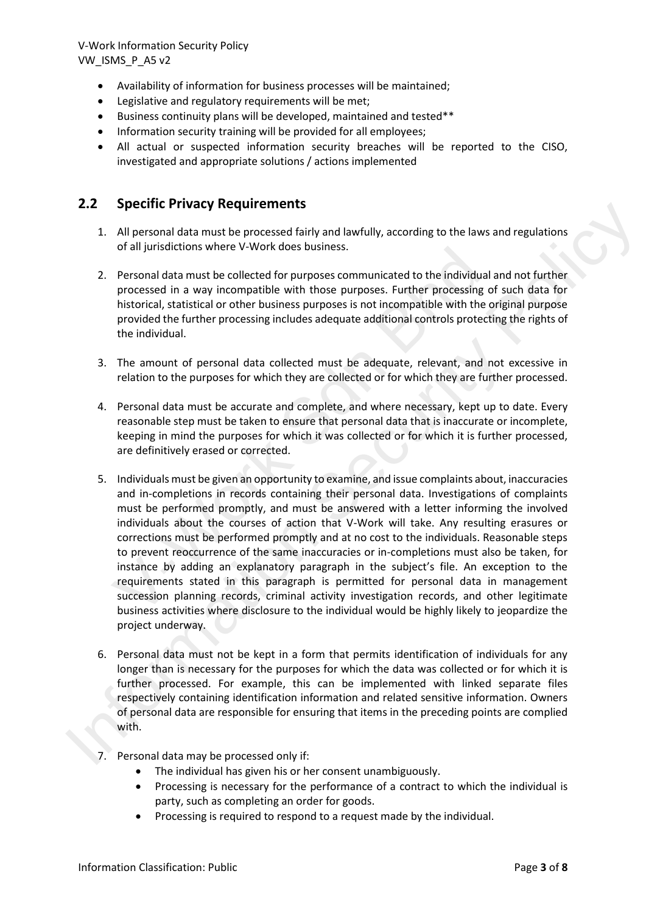- Availability of information for business processes will be maintained;
- Legislative and regulatory requirements will be met;
- Business continuity plans will be developed, maintained and tested\*\*
- Information security training will be provided for all employees;
- All actual or suspected information security breaches will be reported to the CISO, investigated and appropriate solutions / actions implemented

#### **2.2 Specific Privacy Requirements**

- 1. All personal data must be processed fairly and lawfully, according to the laws and regulations of all jurisdictions where V-Work does business.
- 2. Personal data must be collected for purposes communicated to the individual and not further processed in a way incompatible with those purposes. Further processing of such data for historical, statistical or other business purposes is not incompatible with the original purpose provided the further processing includes adequate additional controls protecting the rights of the individual.
- 3. The amount of personal data collected must be adequate, relevant, and not excessive in relation to the purposes for which they are collected or for which they are further processed.
- 4. Personal data must be accurate and complete, and where necessary, kept up to date. Every reasonable step must be taken to ensure that personal data that is inaccurate or incomplete, keeping in mind the purposes for which it was collected or for which it is further processed, are definitively erased or corrected.
- 5. Individuals must be given an opportunity to examine, and issue complaints about, inaccuracies and in-completions in records containing their personal data. Investigations of complaints must be performed promptly, and must be answered with a letter informing the involved individuals about the courses of action that V-Work will take. Any resulting erasures or corrections must be performed promptly and at no cost to the individuals. Reasonable steps to prevent reoccurrence of the same inaccuracies or in-completions must also be taken, for instance by adding an explanatory paragraph in the subject's file. An exception to the requirements stated in this paragraph is permitted for personal data in management succession planning records, criminal activity investigation records, and other legitimate business activities where disclosure to the individual would be highly likely to jeopardize the project underway. or an jurisdictions where v-work does business.<br>
Personal data must be collected for purposes communicated to the individual<br>
processed in a way incompatible with those purposes. Further processing<br>
historical, statistical 2.1<br>
2. Dependice Trivately received members<br>
1. All personal data must be processed fairly and bavfully, according to the laws and regulations<br>
2. Personal data must be valided for puroses communicated to the individual a
	- 6. Personal data must not be kept in a form that permits identification of individuals for any longer than is necessary for the purposes for which the data was collected or for which it is further processed. For example, this can be implemented with linked separate files respectively containing identification information and related sensitive information. Owners of personal data are responsible for ensuring that items in the preceding points are complied with.
	- 7. Personal data may be processed only if:
		- The individual has given his or her consent unambiguously.
		- Processing is necessary for the performance of a contract to which the individual is party, such as completing an order for goods.
		- Processing is required to respond to a request made by the individual.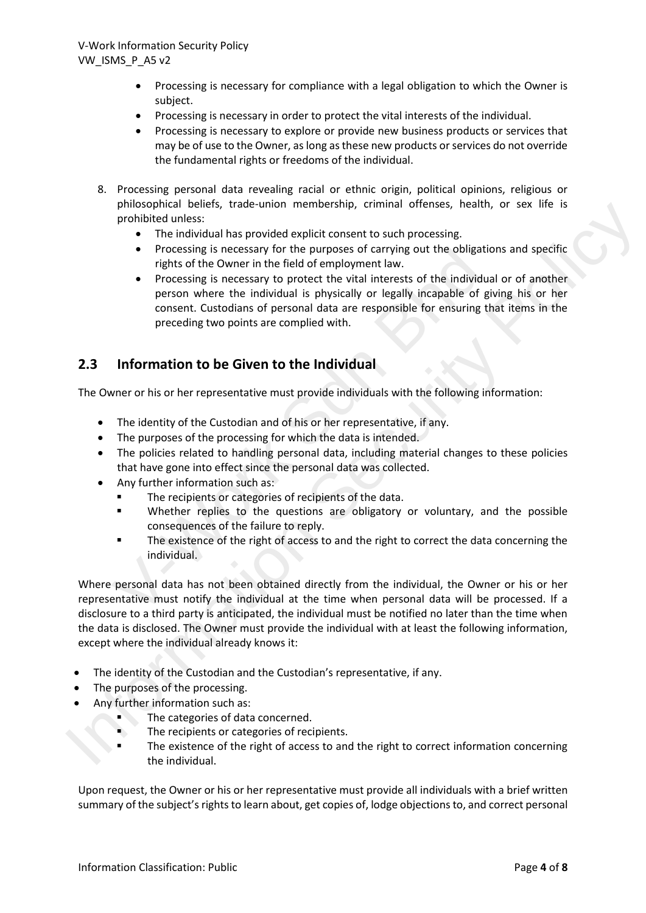- Processing is necessary for compliance with a legal obligation to which the Owner is subject.
- Processing is necessary in order to protect the vital interests of the individual.
- Processing is necessary to explore or provide new business products or services that may be of use to the Owner, as long as these new products or services do not override the fundamental rights or freedoms of the individual.
- 8. Processing personal data revealing racial or ethnic origin, political opinions, religious or philosophical beliefs, trade-union membership, criminal offenses, health, or sex life is prohibited unless:
	- The individual has provided explicit consent to such processing.
	- Processing is necessary for the purposes of carrying out the obligations and specific rights of the Owner in the field of employment law.
	- Processing is necessary to protect the vital interests of the individual or of another person where the individual is physically or legally incapable of giving his or her consent. Custodians of personal data are responsible for ensuring that items in the preceding two points are complied with. • Processing is necessary for the purposes of carrying out the obliga<br>
	rights of the Owner in the field of employment law.<br>
	• Processing is necessary to protect the vital interests of the individuency<br>
	• Processing is nece

#### **2.3 Information to be Given to the Individual**

The Owner or his or her representative must provide individuals with the following information:

- The identity of the Custodian and of his or her representative, if any.
- The purposes of the processing for which the data is intended.
- The policies related to handling personal data, including material changes to these policies that have gone into effect since the personal data was collected.
- Any further information such as:
	- The recipients or categories of recipients of the data.
	- Whether replies to the questions are obligatory or voluntary, and the possible consequences of the failure to reply.
	- The existence of the right of access to and the right to correct the data concerning the individual.

Where personal data has not been obtained directly from the individual, the Owner or his or her representative must notify the individual at the time when personal data will be processed. If a disclosure to a third party is anticipated, the individual must be notified no later than the time when the data is disclosed. The Owner must provide the individual with at least the following information, except where the individual already knows it: Sometical telestics, that entropy the consistent that the consistent of the proposition of a state proposition of the propose of carrying out the obligations and specific<br>
The constant is a provided supplied to the propose

- The identity of the Custodian and the Custodian's representative, if any.
- The purposes of the processing.
- Any further information such as:
	- The categories of data concerned.
	- The recipients or categories of recipients.
	- The existence of the right of access to and the right to correct information concerning the individual.

Upon request, the Owner or his or her representative must provide all individuals with a brief written summary of the subject's rights to learn about, get copies of, lodge objections to, and correct personal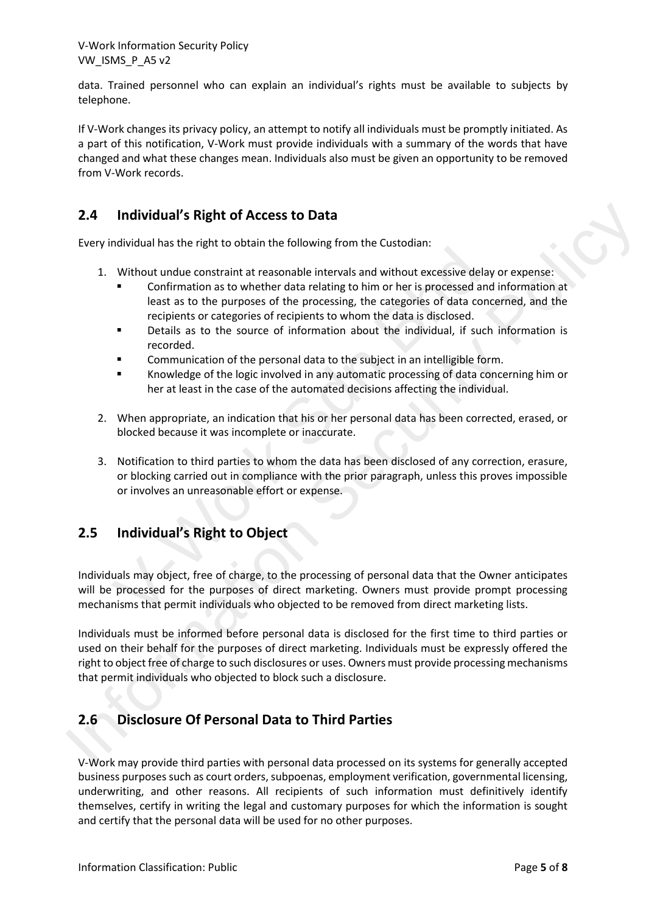data. Trained personnel who can explain an individual's rights must be available to subjects by telephone.

If V-Work changes its privacy policy, an attempt to notify all individuals must be promptly initiated. As a part of this notification, V-Work must provide individuals with a summary of the words that have changed and what these changes mean. Individuals also must be given an opportunity to be removed from V-Work records.

# **2.4 Individual's Right of Access to Data**

Every individual has the right to obtain the following from the Custodian:

- 1. Without undue constraint at reasonable intervals and without excessive delay or expense:
	- Confirmation as to whether data relating to him or her is processed and information at least as to the purposes of the processing, the categories of data concerned, and the recipients or categories of recipients to whom the data is disclosed.
	- Details as to the source of information about the individual, if such information is recorded.
	- Communication of the personal data to the subject in an intelligible form.
	- Knowledge of the logic involved in any automatic processing of data concerning him or her at least in the case of the automated decisions affecting the individual.
- 2. When appropriate, an indication that his or her personal data has been corrected, erased, or blocked because it was incomplete or inaccurate.
- 3. Notification to third parties to whom the data has been disclosed of any correction, erasure, or blocking carried out in compliance with the prior paragraph, unless this proves impossible or involves an unreasonable effort or expense.

# **2.5 Individual's Right to Object**

Individuals may object, free of charge, to the processing of personal data that the Owner anticipates will be processed for the purposes of direct marketing. Owners must provide prompt processing mechanisms that permit individuals who objected to be removed from direct marketing lists. Motival and the transfer and relationship with the cause of confirmation as to whether data relations is on whete are consisted east as to the purposes of the processing, the categories of deta recipients or categories of

Individuals must be informed before personal data is disclosed for the first time to third parties or used on their behalf for the purposes of direct marketing. Individuals must be expressly offered the right to object free of charge to such disclosures or uses. Owners must provide processing mechanisms that permit individuals who objected to block such a disclosure. 2.4 Individual's Right of Access to Data<br>
Levey individual has the right to obtain the following from the Custodian:<br>
1. Without unduce constraint at reasonable interesting to him or her is processed and information at<br>
1.

# **2.6 Disclosure Of Personal Data to Third Parties**

V-Work may provide third parties with personal data processed on its systems for generally accepted business purposes such as court orders, subpoenas, employment verification, governmental licensing, underwriting, and other reasons. All recipients of such information must definitively identify themselves, certify in writing the legal and customary purposes for which the information is sought and certify that the personal data will be used for no other purposes.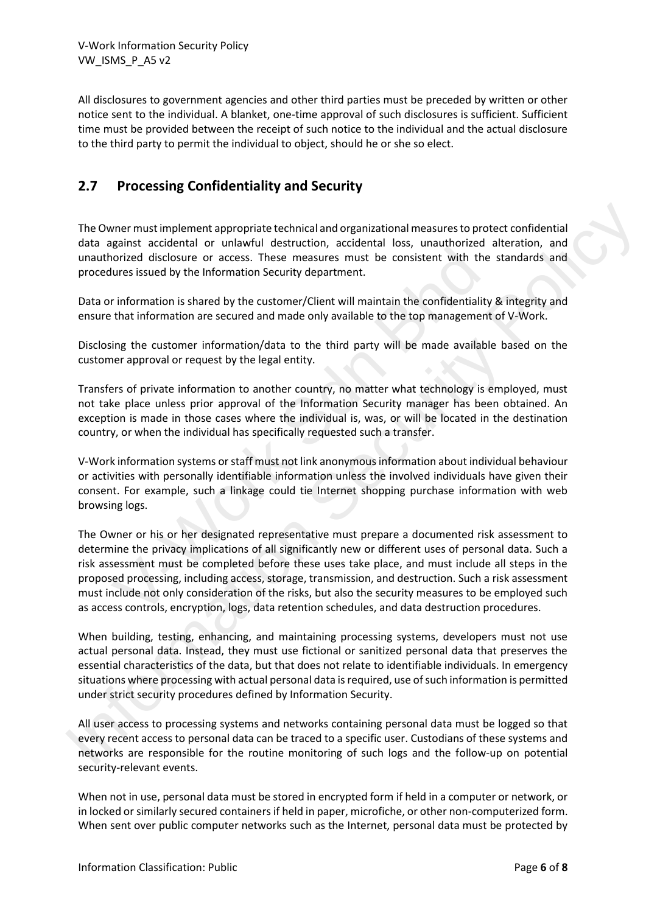All disclosures to government agencies and other third parties must be preceded by written or other notice sent to the individual. A blanket, one-time approval of such disclosures is sufficient. Sufficient time must be provided between the receipt of such notice to the individual and the actual disclosure to the third party to permit the individual to object, should he or she so elect.

# **2.7 Processing Confidentiality and Security**

The Owner must implement appropriate technical and organizational measures to protect confidential data against accidental or unlawful destruction, accidental loss, unauthorized alteration, and unauthorized disclosure or access. These measures must be consistent with the standards and procedures issued by the Information Security department.

Data or information is shared by the customer/Client will maintain the confidentiality & integrity and ensure that information are secured and made only available to the top management of V-Work.

Disclosing the customer information/data to the third party will be made available based on the customer approval or request by the legal entity.

Transfers of private information to another country, no matter what technology is employed, must not take place unless prior approval of the Information Security manager has been obtained. An exception is made in those cases where the individual is, was, or will be located in the destination country, or when the individual has specifically requested such a transfer.

V-Work information systems or staff must not link anonymous information about individual behaviour or activities with personally identifiable information unless the involved individuals have given their consent. For example, such a linkage could tie Internet shopping purchase information with web browsing logs.

The Owner or his or her designated representative must prepare a documented risk assessment to determine the privacy implications of all significantly new or different uses of personal data. Such a risk assessment must be completed before these uses take place, and must include all steps in the proposed processing, including access, storage, transmission, and destruction. Such a risk assessment must include not only consideration of the risks, but also the security measures to be employed such as access controls, encryption, logs, data retention schedules, and data destruction procedures. However the construction of consideration of the consistent host phase that the phase inserts and disclosure or access. These measures must be consistent with the during issued by the Information Security department.<br>
Info The Owner must implement appropriate technical and organizational measures to protect confidential<br>diata against a code-material or unlawful destruction, accidential destructions, and<br>throughout a must be considered into t

When building, testing, enhancing, and maintaining processing systems, developers must not use actual personal data. Instead, they must use fictional or sanitized personal data that preserves the essential characteristics of the data, but that does not relate to identifiable individuals. In emergency situations where processing with actual personal data is required, use of such information is permitted under strict security procedures defined by Information Security.

All user access to processing systems and networks containing personal data must be logged so that every recent access to personal data can be traced to a specific user. Custodians of these systems and networks are responsible for the routine monitoring of such logs and the follow-up on potential security-relevant events.

When not in use, personal data must be stored in encrypted form if held in a computer or network, or in locked or similarly secured containers if held in paper, microfiche, or other non-computerized form. When sent over public computer networks such as the Internet, personal data must be protected by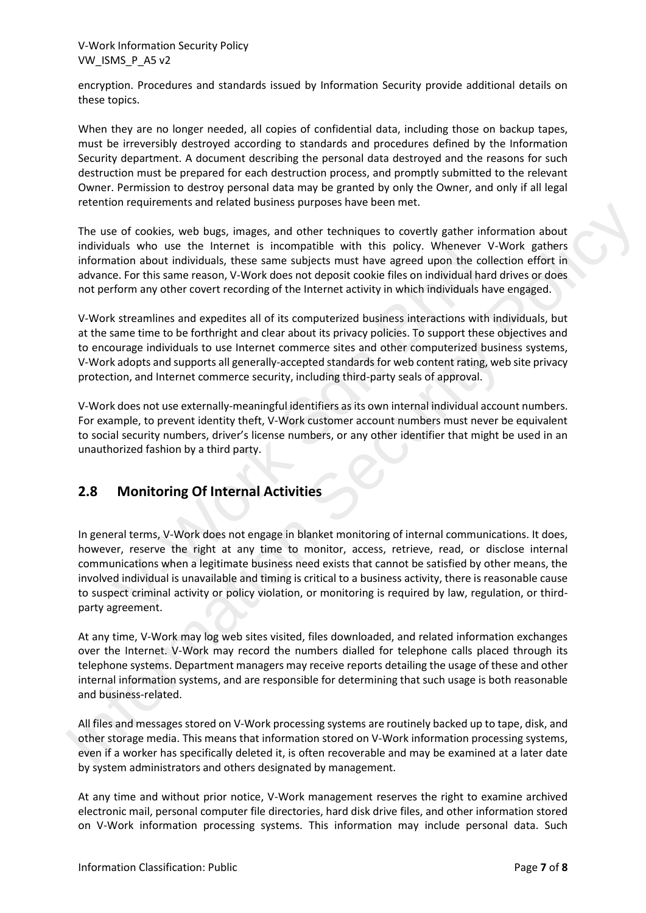encryption. Procedures and standards issued by Information Security provide additional details on these topics.

When they are no longer needed, all copies of confidential data, including those on backup tapes, must be irreversibly destroyed according to standards and procedures defined by the Information Security department. A document describing the personal data destroyed and the reasons for such destruction must be prepared for each destruction process, and promptly submitted to the relevant Owner. Permission to destroy personal data may be granted by only the Owner, and only if all legal retention requirements and related business purposes have been met.

The use of cookies, web bugs, images, and other techniques to covertly gather information about individuals who use the Internet is incompatible with this policy. Whenever V-Work gathers information about individuals, these same subjects must have agreed upon the collection effort in advance. For this same reason, V-Work does not deposit cookie files on individual hard drives or does not perform any other covert recording of the Internet activity in which individuals have engaged.

V-Work streamlines and expedites all of its computerized business interactions with individuals, but at the same time to be forthright and clear about its privacy policies. To support these objectives and to encourage individuals to use Internet commerce sites and other computerized business systems, V-Work adopts and supports all generally-accepted standards for web content rating, web site privacy protection, and Internet commerce security, including third-party seals of approval.

V-Work does not use externally-meaningful identifiers as its own internal individual account numbers. For example, to prevent identity theft, V-Work customer account numbers must never be equivalent to social security numbers, driver's license numbers, or any other identifier that might be used in an unauthorized fashion by a third party.

# **2.8 Monitoring Of Internal Activities**

In general terms, V-Work does not engage in blanket monitoring of internal communications. It does, however, reserve the right at any time to monitor, access, retrieve, read, or disclose internal communications when a legitimate business need exists that cannot be satisfied by other means, the involved individual is unavailable and timing is critical to a business activity, there is reasonable cause to suspect criminal activity or policy violation, or monitoring is required by law, regulation, or thirdparty agreement. ans wird use the meteric is incomparation about individuals, these same subjects must have agreed upon the ce.<br>For this same reason, V-Work does not deposit cookie files on individual a<br>form any other covert recording of t The use of colonies, we buse, the meaning of the mean term in the controllering the state of the state of the state of the mean of the mean of the mean of the mean term is increased to the mean term is increased to the mea

At any time, V-Work may log web sites visited, files downloaded, and related information exchanges over the Internet. V-Work may record the numbers dialled for telephone calls placed through its telephone systems. Department managers may receive reports detailing the usage of these and other internal information systems, and are responsible for determining that such usage is both reasonable and business-related.

All files and messages stored on V-Work processing systems are routinely backed up to tape, disk, and other storage media. This means that information stored on V-Work information processing systems, even if a worker has specifically deleted it, is often recoverable and may be examined at a later date by system administrators and others designated by management.

At any time and without prior notice, V-Work management reserves the right to examine archived electronic mail, personal computer file directories, hard disk drive files, and other information stored on V-Work information processing systems. This information may include personal data. Such